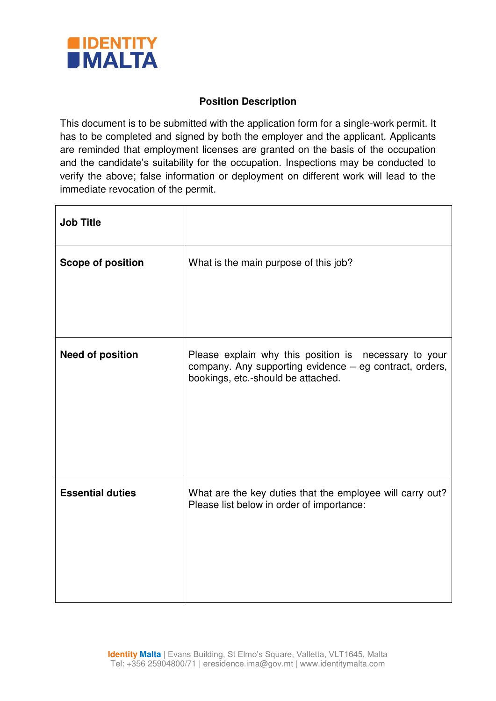

## **Position Description**

This document is to be submitted with the application form for a single-work permit. It has to be completed and signed by both the employer and the applicant. Applicants are reminded that employment licenses are granted on the basis of the occupation and the candidate's suitability for the occupation. Inspections may be conducted to verify the above; false information or deployment on different work will lead to the immediate revocation of the permit.

| <b>Job Title</b>         |                                                                                                                                                        |  |  |  |
|--------------------------|--------------------------------------------------------------------------------------------------------------------------------------------------------|--|--|--|
| <b>Scope of position</b> | What is the main purpose of this job?                                                                                                                  |  |  |  |
|                          |                                                                                                                                                        |  |  |  |
| <b>Need of position</b>  | Please explain why this position is necessary to your<br>company. Any supporting evidence - eg contract, orders,<br>bookings, etc.-should be attached. |  |  |  |
| <b>Essential duties</b>  | What are the key duties that the employee will carry out?<br>Please list below in order of importance:                                                 |  |  |  |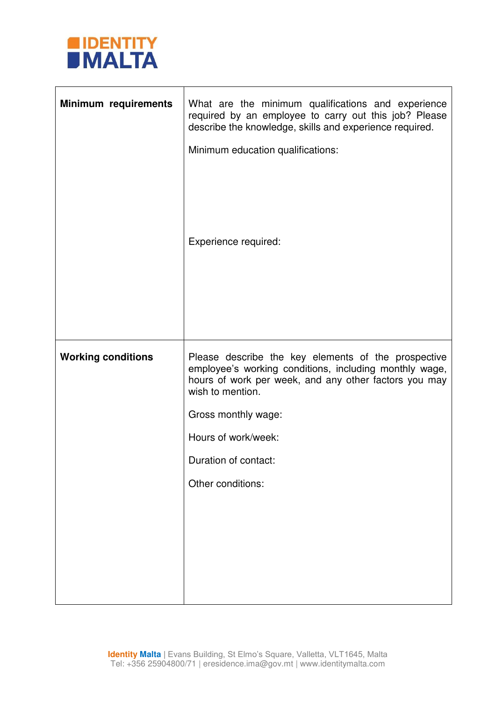

| Minimum requirements      | What are the minimum qualifications and experience<br>required by an employee to carry out this job? Please<br>describe the knowledge, skills and experience required.<br>Minimum education qualifications:<br>Experience required:                                                   |  |  |  |  |  |
|---------------------------|---------------------------------------------------------------------------------------------------------------------------------------------------------------------------------------------------------------------------------------------------------------------------------------|--|--|--|--|--|
| <b>Working conditions</b> | Please describe the key elements of the prospective<br>employee's working conditions, including monthly wage,<br>hours of work per week, and any other factors you may<br>wish to mention.<br>Gross monthly wage:<br>Hours of work/week:<br>Duration of contact:<br>Other conditions: |  |  |  |  |  |